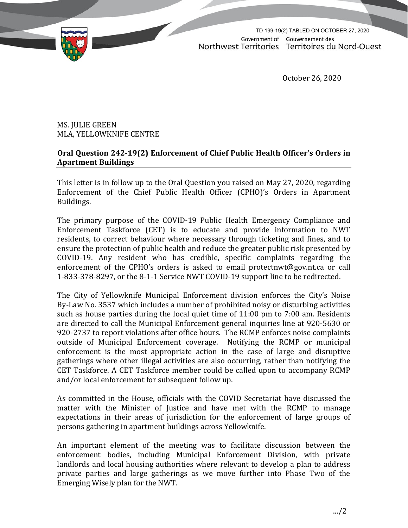TD 199-19(2) TABLED ON OCTOBER 27, 2020Government of Gouvernement des Northwest Territories Territoires du Nord-Ouest

October 26, 2020

MS. JULIE GREEN MLA, YELLOWKNIFE CENTRE

## **Oral Question 242‐19(2) Enforcement of Chief Public Health Officer's Orders in Apartment Buildings**

This letter is in follow up to the Oral Question you raised on May 27, 2020, regarding Enforcement of the Chief Public Health Officer (CPHO)'s Orders in Apartment Buildings.

The primary purpose of the COVID-19 Public Health Emergency Compliance and Enforcement Taskforce (CET) is to educate and provide information to NWT residents, to correct behaviour where necessary through ticketing and fines, and to ensure the protection of public health and reduce the greater public risk presented by COVID-19. Any resident who has credible, specific complaints regarding the enforcement of the CPHO's orders is asked to email [protectnwt@gov.nt.ca](http://diims.pws.gov.nt.ca/yk32vapp06pdav/nodes/125315083/mailto_protectnwt%40gov.nt.ca) or call 1-833-378-8297, or the 8-1-1 Service NWT COVID-19 support line to be redirected.

The City of Yellowknife Municipal Enforcement division enforces the City's Noise By-Law No. 3537 which includes a number of prohibited noisy or disturbing activities such as house parties during the local quiet time of 11:00 pm to 7:00 am. Residents are directed to call the Municipal Enforcement general inquiries line at 920-5630 or 920-2737 to report violations after office hours. The RCMP enforces noise complaints outside of Municipal Enforcement coverage. Notifying the RCMP or municipal enforcement is the most appropriate action in the case of large and disruptive gatherings where other illegal activities are also occurring, rather than notifying the CET Taskforce. A CET Taskforce member could be called upon to accompany RCMP and/or local enforcement for subsequent follow up.

As committed in the House, officials with the COVID Secretariat have discussed the matter with the Minister of Justice and have met with the RCMP to manage expectations in their areas of jurisdiction for the enforcement of large groups of persons gathering in apartment buildings across Yellowknife.

An important element of the meeting was to facilitate discussion between the enforcement bodies, including Municipal Enforcement Division, with private landlords and local housing authorities where relevant to develop a plan to address private parties and large gatherings as we move further into Phase Two of the Emerging Wisely plan for the NWT.